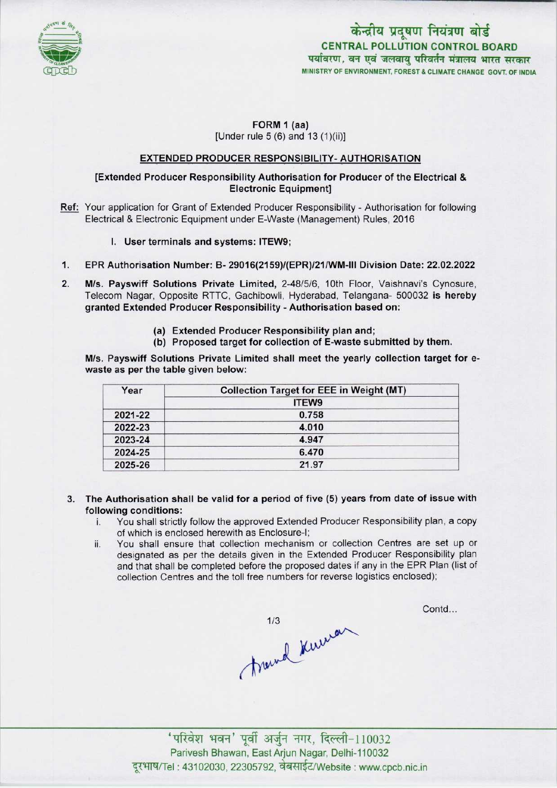

केन्द्रीय प्रदूषण नियंत्रण बोर्ड CENTRAL POLLUTION CONTROL BOARD<br>पर्यावरण, वन एवं जलवायु परिवर्तन मंत्रालय भारत सरकार MINISTRY OF ENVIRONMENT, FOREST & CLIMATE CHANGE GOVT. OF INDIA

# FORM 1 (aa) [Under rule 5 (6) and 13 (1)(ii)]

## EXTENDED PRODUCER RESPONSIBILITY- AUTHORISATION

# [Extended Producer Responsibility Authorisation for Producer of the Electrical & Electronic Equipment]

- Ref: Your application for Grant of Extended Producer Responsibility Authorisation for following Electrical & Electronic Equipment under E-Waste (Management) Rules, 2016
	- I. User terminals and systems: ITEW9;
- $1.$ EPR Authorisation Number: B- 29016(2159)/(EPR)/21/WM-lll Division Date: 22.02.2022
- $2.$ M/s. Payswiff Solutions Private Limited, 2-48/5/6, 10th Floor, Vaishnavi's Cynosure, Telecom Nagar, Opposite RTTC, Gachibowli, Hyderabad, Telangana- 500032 is hereby granted Extended Producer Responsibility - Authorisation based on:
	- (a)Extended Producer Responsibility plan and;
	- (b) Proposed target for collection of E-waste submitted by them.

M/s. Payswiff Solutions Private Limited shall meet the yearly collection target for ewaste as per the table given below:

| Year    | <b>Collection Target for EEE in Weight (MT)</b> |  |
|---------|-------------------------------------------------|--|
|         | <b>ITEW9</b>                                    |  |
| 2021-22 | 0.758                                           |  |
| 2022-23 | 4.010                                           |  |
| 2023-24 | 4.947                                           |  |
| 2024-25 | 6.470                                           |  |
| 2025-26 | 21.97                                           |  |

- 3. The Authorisation shall be valid for a period of five (5) yearsfrom date of issue with **following conditions:**<br>i. You shall strictly
	- You shall strictly follow the approved Extended Producer Responsibility plan, a copy of which is enclosed herewith as Enclosure-I;
	- ii. You shall ensure that collection mechanism or collection Centres are set up or designated as per the details given in the Extended Producer Responsibility plan and that shall be completed before the proposed dates if any in the EPR Plan (list of collection Centres and the toll free numbers for reverse logistics enclosed);

1/3<br>1/3<br>Trumd Kurrar

Contd...

Parivesh Bhawan, East Arjun Nagar, Delhi-110032 दूरभाष/Tel: 43102030, 22305792, वेबसाईट/Website : www.cpcb.nic.in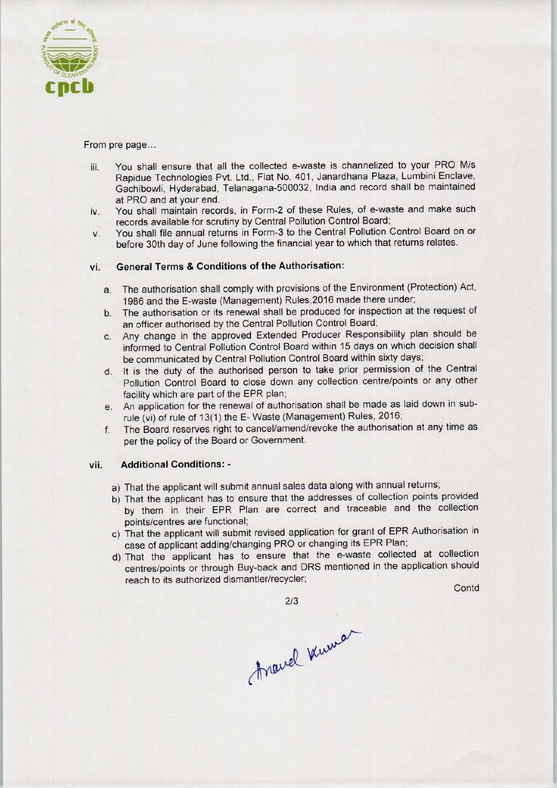

From pre page...

- iii. You shall ensure that all the collected e-waste is channelized to your PRO M/s Rapidue Technologies Pvt. Ltd., Flat No. 401, Janardhana Plaza, Lumbini Enclave, Gachibowli, Hyderabad, Telanagana-500032, India and record shall be maintained at PRO and at your end.
- iv. You shall maintain records, in Form-2 of these Rules, of e-waste and make such records available for scrutiny by Central Pollution Control Board;
- v. You shall file annual returns in Form-3 to the Central Pollution Control Board on or before 30th day of June following the financial year to which that returns relates.

## vi. General Terms & Conditions of the Authorisation:

- a. The authorisation shall comply with provisions of the Environment (Protection) Act, 1986 and the E-waste (Management) Rules,2016 made there under;
- b.The authorisation or its renewal shall be produced for inspection at the request of an officer authorised by the Central Pollution Control Board;
- c.Any change in the approved Extended Producer Responsibility plan should be informed to Central Pollution Control Board within 15 days on which decision shall be communicated by Central Pollution Control Board within sixty days;
- d. It is the duty of the authorised person to take prior permission of the Central Pollution Control Board to close down any collection centre/points or any other facility which are part of the EPR plan;
- e.An application for the renewal of authorisation shall be made aslaid down in subrule (vi) of rule of 13(1) the E- Waste (Management) Rules, 2016;
- f. The Board reserves right to cancel/amend/revoke the authorisation at any time as per the policy of the Board or Government.

#### vii. Additional Conditions: -

- a)That the applicant will submit annual sales data along with annual returns;
- b) That the applicant has to ensure that the addresses of collection points provided by them in their EPR Plan are correct and traceable and the collection points/centres are functional;
- c) That the applicant will submit revised application for grant of EPR Authorisation in case of applicant adding/changing PRO or changing its EPR Plan;
- d)That the applicant has to ensure that the e-waste collected at collection centres/points or through Buy-back and DRS mentioned in the application should reach to its authorized dismantler/recycler;

**Contd** 

2/3

Around Kuman